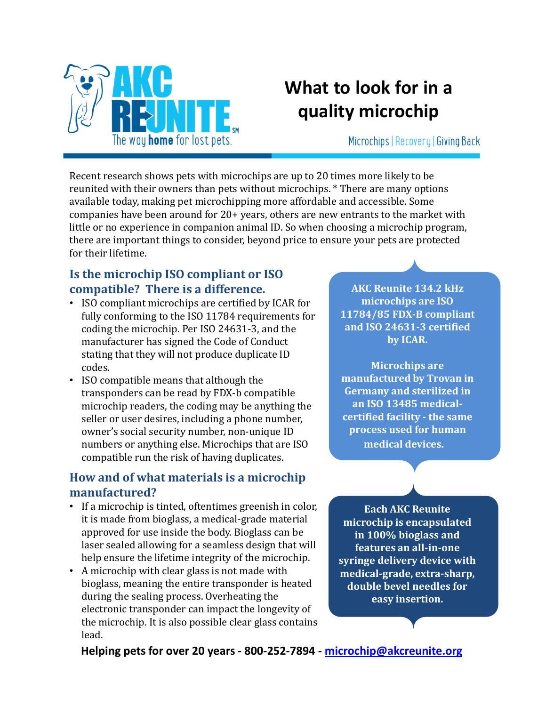

# What to look for in a quality microchip

Microchips | Recovery | Giving Back

Recent research shows pets with microchips are up to 20 times more likely to be reunited with their owners than pets without microchips. \* There are many options available today, making pet microchipping more affordable and accessible. Some companies have been around for 20+ years, others are new entrants to the market with little or no experience in companion animal ID. So when choosing a microchip program, there are important things to consider, beyond price to ensure your pets are protected for their lifetime.

## Is the microchip ISO compliant or ISO compatible? There is a difference.

- ISO compliant microchips are certified by ICAR for fully conforming to the ISO 11784 requirements for coding the microchip. Per ISO 24631-3, and the manufacturer has signed the Code of Conduct stating that they will not produce duplicate ID codes.
- ISO compatible means that although the transponders can be read by FDX-b compatible microchip readers, the coding may be anything the seller or user desires, including a phone number, owner's social security number, non-unique ID numbers or anything else. Microchips that are ISO compatible run the risk of having duplicates.

### How and of what materials is a microchip manufactured?

- If a microchip is tinted, oftentimes greenish in color, it is made from bioglass, a medical-grade material approved for use inside the body. Bioglass can be laser sealed allowing for a seamless design that will help ensure the lifetime integrity of the microchip.
- A microchip with clear glass is not made with bioglass, meaning the entire transponder is heated during the sealing process. Overheating the electronic transponder can impact the longevity of the microchip. It is also possible clear glass contains lead.

AKC Reunite 134.2 kHz microchips are ISO 11784/85 FDX-B compliant and ISO 24631-3 certified by ICAR.

Microchips are manufactured by Trovan in Germany and sterilized in an ISO 13485 medicalcertified facility - the same process used for human medical devices.

Each AKC Reunite microchip is encapsulated in 100% bioglass and features an all-in-one syringe delivery device with medical-grade, extra-sharp, double bevel needles for easy insertion.

Helping pets for over 20 years - 800-252-7894 - microchip@akcreunite.org